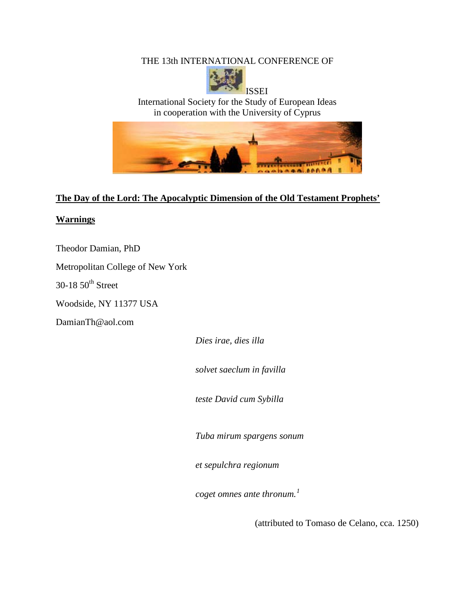# THE 13th INTERNATIONAL CONFERENCE OF



International Society for the Study of European Ideas in cooperation with the University of Cyprus



# **The Day of the Lord: The Apocalyptic Dimension of the Old Testament Prophets'**

# **Warnings**

Theodor Damian, PhD

Metropolitan College of New York

 $30-18$   $50^{\text{th}}$  Street

Woodside, NY 11377 USA

DamianTh@aol.com

*Dies irae, dies illa*

*solvet saeclum in favilla*

*teste David cum Sybilla*

*Tuba mirum spargens sonum*

*et sepulchra regionum*

*coget omnes ante thronum.[1](#page-11-0)*

(attributed to Tomaso de Celano, cca. 1250)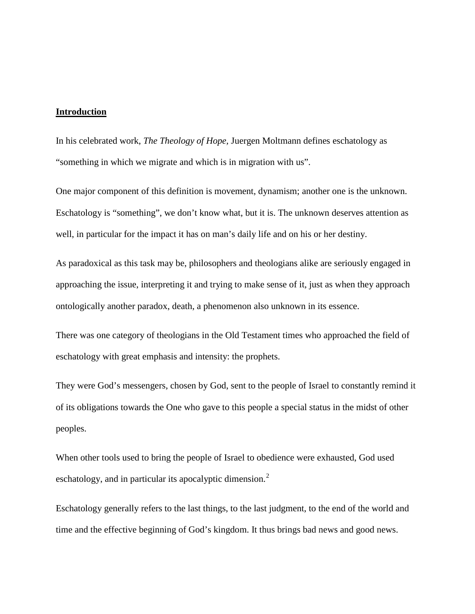#### **Introduction**

In his celebrated work, *The Theology of Hope,* Juergen Moltmann defines eschatology as "something in which we migrate and which is in migration with us".

One major component of this definition is movement, dynamism; another one is the unknown. Eschatology is "something", we don't know what, but it is. The unknown deserves attention as well, in particular for the impact it has on man's daily life and on his or her destiny.

As paradoxical as this task may be, philosophers and theologians alike are seriously engaged in approaching the issue, interpreting it and trying to make sense of it, just as when they approach ontologically another paradox, death, a phenomenon also unknown in its essence.

There was one category of theologians in the Old Testament times who approached the field of eschatology with great emphasis and intensity: the prophets.

They were God's messengers, chosen by God, sent to the people of Israel to constantly remind it of its obligations towards the One who gave to this people a special status in the midst of other peoples.

When other tools used to bring the people of Israel to obedience were exhausted, God used eschatology, and in particular its apocalyptic dimension.<sup>[2](#page-11-1)</sup>

Eschatology generally refers to the last things, to the last judgment, to the end of the world and time and the effective beginning of God's kingdom. It thus brings bad news and good news.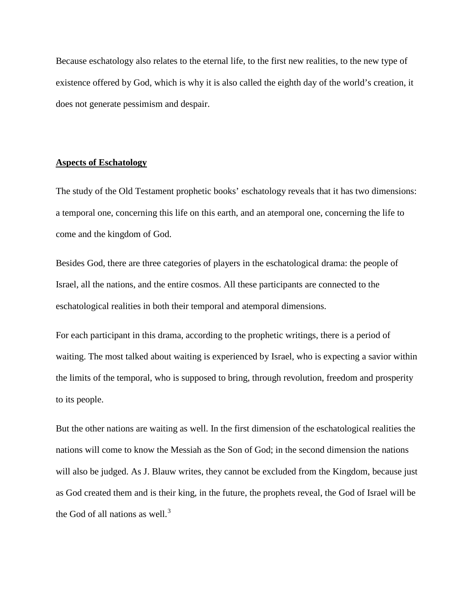Because eschatology also relates to the eternal life, to the first new realities, to the new type of existence offered by God, which is why it is also called the eighth day of the world's creation, it does not generate pessimism and despair.

#### **Aspects of Eschatology**

The study of the Old Testament prophetic books' eschatology reveals that it has two dimensions: a temporal one, concerning this life on this earth, and an atemporal one, concerning the life to come and the kingdom of God.

Besides God, there are three categories of players in the eschatological drama: the people of Israel, all the nations, and the entire cosmos. All these participants are connected to the eschatological realities in both their temporal and atemporal dimensions.

For each participant in this drama, according to the prophetic writings, there is a period of waiting. The most talked about waiting is experienced by Israel, who is expecting a savior within the limits of the temporal, who is supposed to bring, through revolution, freedom and prosperity to its people.

But the other nations are waiting as well. In the first dimension of the eschatological realities the nations will come to know the Messiah as the Son of God; in the second dimension the nations will also be judged. As J. Blauw writes, they cannot be excluded from the Kingdom, because just as God created them and is their king, in the future, the prophets reveal, the God of Israel will be the God of all nations as well. $3$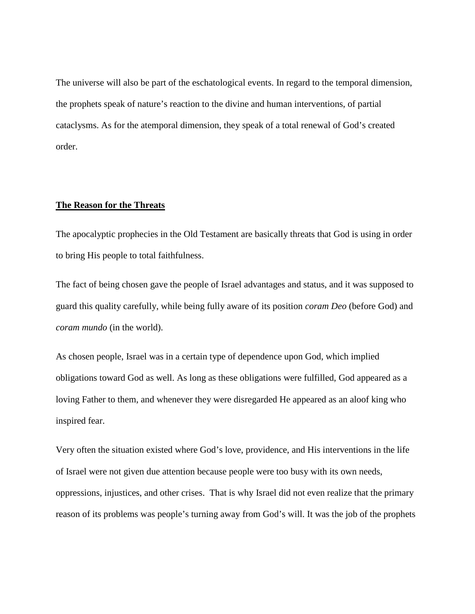The universe will also be part of the eschatological events. In regard to the temporal dimension, the prophets speak of nature's reaction to the divine and human interventions, of partial cataclysms. As for the atemporal dimension, they speak of a total renewal of God's created order.

## **The Reason for the Threats**

The apocalyptic prophecies in the Old Testament are basically threats that God is using in order to bring His people to total faithfulness.

The fact of being chosen gave the people of Israel advantages and status, and it was supposed to guard this quality carefully, while being fully aware of its position *coram Deo* (before God) and *coram mundo* (in the world).

As chosen people, Israel was in a certain type of dependence upon God, which implied obligations toward God as well. As long as these obligations were fulfilled, God appeared as a loving Father to them, and whenever they were disregarded He appeared as an aloof king who inspired fear.

Very often the situation existed where God's love, providence, and His interventions in the life of Israel were not given due attention because people were too busy with its own needs, oppressions, injustices, and other crises. That is why Israel did not even realize that the primary reason of its problems was people's turning away from God's will. It was the job of the prophets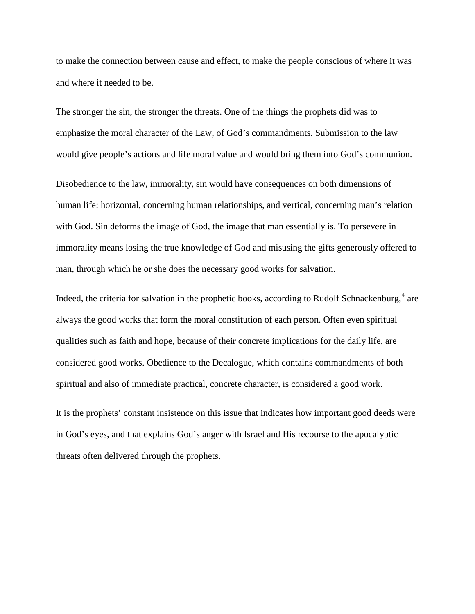to make the connection between cause and effect, to make the people conscious of where it was and where it needed to be.

The stronger the sin, the stronger the threats. One of the things the prophets did was to emphasize the moral character of the Law, of God's commandments. Submission to the law would give people's actions and life moral value and would bring them into God's communion.

Disobedience to the law, immorality, sin would have consequences on both dimensions of human life: horizontal, concerning human relationships, and vertical, concerning man's relation with God. Sin deforms the image of God, the image that man essentially is. To persevere in immorality means losing the true knowledge of God and misusing the gifts generously offered to man, through which he or she does the necessary good works for salvation.

Indeed, the criteria for salvation in the prophetic books, according to Rudolf Schnackenburg,  $4$  are always the good works that form the moral constitution of each person. Often even spiritual qualities such as faith and hope, because of their concrete implications for the daily life, are considered good works. Obedience to the Decalogue, which contains commandments of both spiritual and also of immediate practical, concrete character, is considered a good work.

It is the prophets' constant insistence on this issue that indicates how important good deeds were in God's eyes, and that explains God's anger with Israel and His recourse to the apocalyptic threats often delivered through the prophets.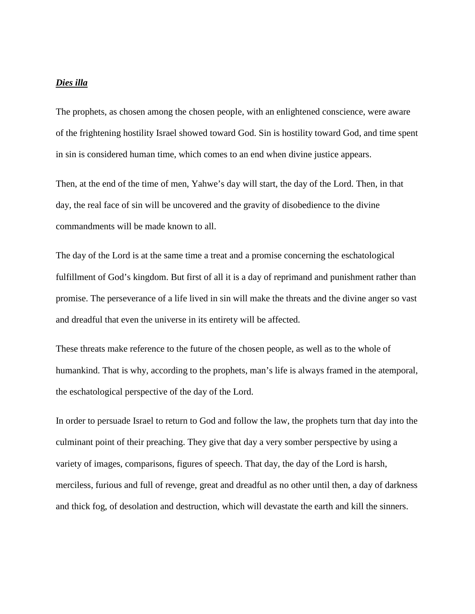## *Dies illa*

The prophets, as chosen among the chosen people, with an enlightened conscience, were aware of the frightening hostility Israel showed toward God. Sin is hostility toward God, and time spent in sin is considered human time, which comes to an end when divine justice appears.

Then, at the end of the time of men, Yahwe's day will start, the day of the Lord. Then, in that day, the real face of sin will be uncovered and the gravity of disobedience to the divine commandments will be made known to all.

The day of the Lord is at the same time a treat and a promise concerning the eschatological fulfillment of God's kingdom. But first of all it is a day of reprimand and punishment rather than promise. The perseverance of a life lived in sin will make the threats and the divine anger so vast and dreadful that even the universe in its entirety will be affected.

These threats make reference to the future of the chosen people, as well as to the whole of humankind. That is why, according to the prophets, man's life is always framed in the atemporal, the eschatological perspective of the day of the Lord.

In order to persuade Israel to return to God and follow the law, the prophets turn that day into the culminant point of their preaching. They give that day a very somber perspective by using a variety of images, comparisons, figures of speech. That day, the day of the Lord is harsh, merciless, furious and full of revenge, great and dreadful as no other until then, a day of darkness and thick fog, of desolation and destruction, which will devastate the earth and kill the sinners.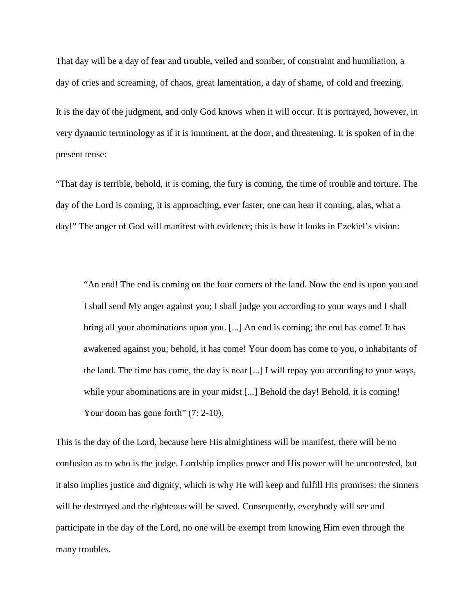That day will be a day of fear and trouble, veiled and somber, of constraint and humiliation, a day of cries and screaming, of chaos, great lamentation, a day of shame, of cold and freezing.

It is the day of the judgment, and only God knows when it will occur. It is portrayed, however, in very dynamic terminology as if it is imminent, at the door, and threatening. It is spoken of in the present tense:

"That day is terrible, behold, it is coming, the fury is coming, the time of trouble and torture. The day of the Lord is coming, it is approaching, ever faster, one can hear it coming, alas, what a day!" The anger of God will manifest with evidence; this is how it looks in Ezekiel's vision:

"An end! The end is coming on the four corners of the land. Now the end is upon you and I shall send My anger against you; I shall judge you according to your ways and I shall bring all your abominations upon you. [...] An end is coming; the end has come! It has awakened against you; behold, it has come! Your doom has come to you, o inhabitants of the land. The time has come, the day is near [...] I will repay you according to your ways, while your abominations are in your midst [...] Behold the day! Behold, it is coming! Your doom has gone forth"  $(7: 2-10)$ .

This is the day of the Lord, because here His almightiness will be manifest, there will be no confusion as to who is the judge. Lordship implies power and His power will be uncontested, but it also implies justice and dignity, which is why He will keep and fulfill His promises: the sinners will be destroyed and the righteous will be saved. Consequently, everybody will see and participate in the day of the Lord, no one will be exempt from knowing Him even through the many troubles.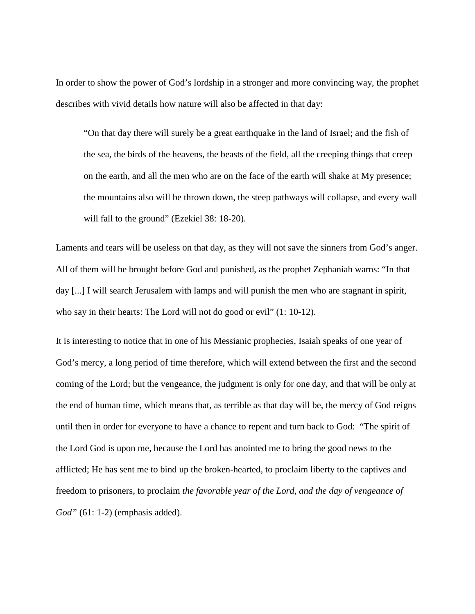In order to show the power of God's lordship in a stronger and more convincing way, the prophet describes with vivid details how nature will also be affected in that day:

"On that day there will surely be a great earthquake in the land of Israel; and the fish of the sea, the birds of the heavens, the beasts of the field, all the creeping things that creep on the earth, and all the men who are on the face of the earth will shake at My presence; the mountains also will be thrown down, the steep pathways will collapse, and every wall will fall to the ground" (Ezekiel 38: 18-20).

Laments and tears will be useless on that day, as they will not save the sinners from God's anger. All of them will be brought before God and punished, as the prophet Zephaniah warns: "In that day [...] I will search Jerusalem with lamps and will punish the men who are stagnant in spirit, who say in their hearts: The Lord will not do good or evil" (1: 10-12).

It is interesting to notice that in one of his Messianic prophecies, Isaiah speaks of one year of God's mercy, a long period of time therefore, which will extend between the first and the second coming of the Lord; but the vengeance, the judgment is only for one day, and that will be only at the end of human time, which means that, as terrible as that day will be, the mercy of God reigns until then in order for everyone to have a chance to repent and turn back to God: "The spirit of the Lord God is upon me, because the Lord has anointed me to bring the good news to the afflicted; He has sent me to bind up the broken-hearted, to proclaim liberty to the captives and freedom to prisoners, to proclaim *the favorable year of the Lord, and the day of vengeance of God"* (61: 1-2) (emphasis added).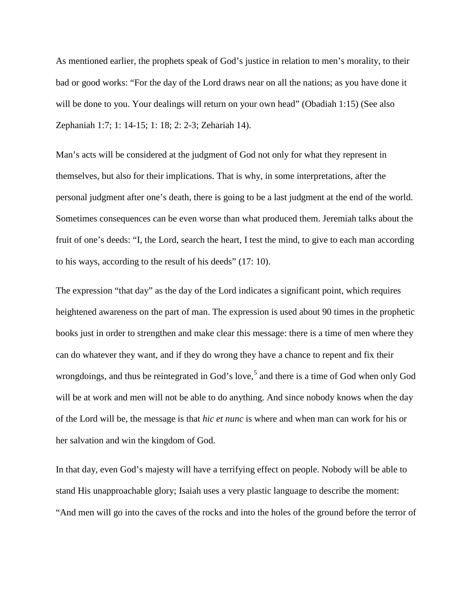As mentioned earlier, the prophets speak of God's justice in relation to men's morality, to their bad or good works: "For the day of the Lord draws near on all the nations; as you have done it will be done to you. Your dealings will return on your own head" (Obadiah 1:15) (See also Zephaniah 1:7; 1: 14-15; 1: 18; 2: 2-3; Zehariah 14).

Man's acts will be considered at the judgment of God not only for what they represent in themselves, but also for their implications. That is why, in some interpretations, after the personal judgment after one's death, there is going to be a last judgment at the end of the world. Sometimes consequences can be even worse than what produced them. Jeremiah talks about the fruit of one's deeds: "I, the Lord, search the heart, I test the mind, to give to each man according to his ways, according to the result of his deeds" (17: 10).

The expression "that day" as the day of the Lord indicates a significant point, which requires heightened awareness on the part of man. The expression is used about 90 times in the prophetic books just in order to strengthen and make clear this message: there is a time of men where they can do whatever they want, and if they do wrong they have a chance to repent and fix their wrongdoings, and thus be reintegrated in God's love,<sup>[5](#page-11-4)</sup> and there is a time of God when only God will be at work and men will not be able to do anything. And since nobody knows when the day of the Lord will be, the message is that *hic et nunc* is where and when man can work for his or her salvation and win the kingdom of God.

In that day, even God's majesty will have a terrifying effect on people. Nobody will be able to stand His unapproachable glory; Isaiah uses a very plastic language to describe the moment: "And men will go into the caves of the rocks and into the holes of the ground before the terror of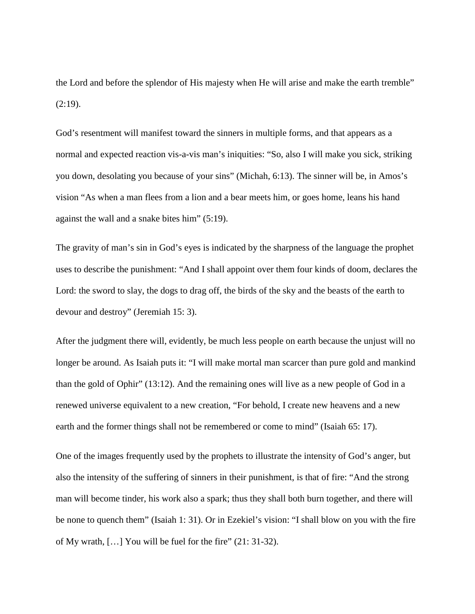the Lord and before the splendor of His majesty when He will arise and make the earth tremble"  $(2:19)$ .

God's resentment will manifest toward the sinners in multiple forms, and that appears as a normal and expected reaction vis-a-vis man's iniquities: "So, also I will make you sick, striking you down, desolating you because of your sins" (Michah, 6:13). The sinner will be, in Amos's vision "As when a man flees from a lion and a bear meets him, or goes home, leans his hand against the wall and a snake bites him" (5:19).

The gravity of man's sin in God's eyes is indicated by the sharpness of the language the prophet uses to describe the punishment: "And I shall appoint over them four kinds of doom, declares the Lord: the sword to slay, the dogs to drag off, the birds of the sky and the beasts of the earth to devour and destroy" (Jeremiah 15: 3).

After the judgment there will, evidently, be much less people on earth because the unjust will no longer be around. As Isaiah puts it: "I will make mortal man scarcer than pure gold and mankind than the gold of Ophir" (13:12). And the remaining ones will live as a new people of God in a renewed universe equivalent to a new creation, "For behold, I create new heavens and a new earth and the former things shall not be remembered or come to mind" (Isaiah 65: 17).

One of the images frequently used by the prophets to illustrate the intensity of God's anger, but also the intensity of the suffering of sinners in their punishment, is that of fire: "And the strong man will become tinder, his work also a spark; thus they shall both burn together, and there will be none to quench them" (Isaiah 1: 31). Or in Ezekiel's vision: "I shall blow on you with the fire of My wrath, […] You will be fuel for the fire" (21: 31-32).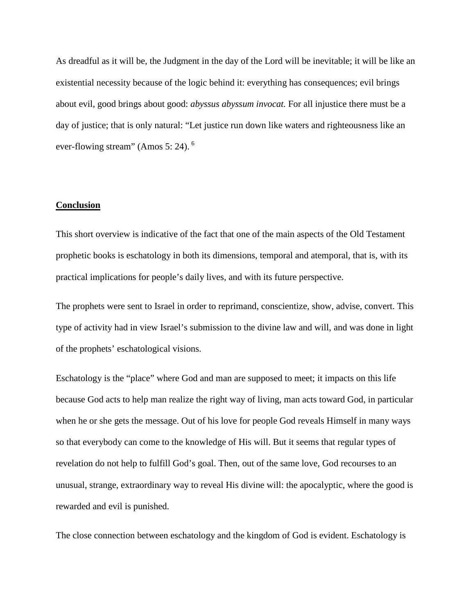As dreadful as it will be, the Judgment in the day of the Lord will be inevitable; it will be like an existential necessity because of the logic behind it: everything has consequences; evil brings about evil, good brings about good: *abyssus abyssum invocat.* For all injustice there must be a day of justice; that is only natural: "Let justice run down like waters and righteousness like an ever-flowing stream" (Amos 5: 24). <sup>[6](#page-12-0)</sup>

## **Conclusion**

This short overview is indicative of the fact that one of the main aspects of the Old Testament prophetic books is eschatology in both its dimensions, temporal and atemporal, that is, with its practical implications for people's daily lives, and with its future perspective.

The prophets were sent to Israel in order to reprimand, conscientize, show, advise, convert. This type of activity had in view Israel's submission to the divine law and will, and was done in light of the prophets' eschatological visions.

Eschatology is the "place" where God and man are supposed to meet; it impacts on this life because God acts to help man realize the right way of living, man acts toward God, in particular when he or she gets the message. Out of his love for people God reveals Himself in many ways so that everybody can come to the knowledge of His will. But it seems that regular types of revelation do not help to fulfill God's goal. Then, out of the same love, God recourses to an unusual, strange, extraordinary way to reveal His divine will: the apocalyptic, where the good is rewarded and evil is punished.

The close connection between eschatology and the kingdom of God is evident. Eschatology is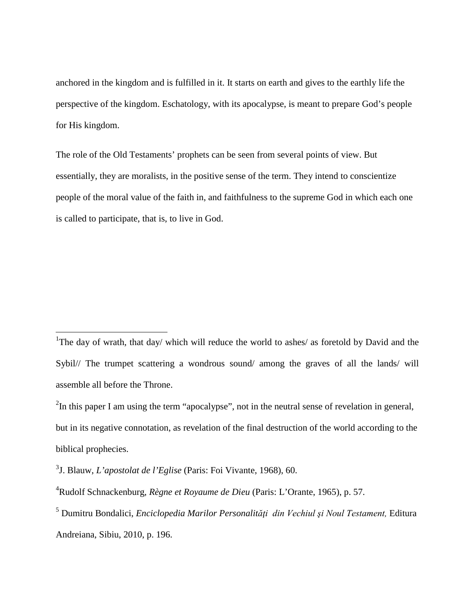anchored in the kingdom and is fulfilled in it. It starts on earth and gives to the earthly life the perspective of the kingdom. Eschatology, with its apocalypse, is meant to prepare God's people for His kingdom.

The role of the Old Testaments' prophets can be seen from several points of view. But essentially, they are moralists, in the positive sense of the term. They intend to conscientize people of the moral value of the faith in, and faithfulness to the supreme God in which each one is called to participate, that is, to live in God.

<span id="page-11-0"></span><sup>&</sup>lt;sup>1</sup>The day of wrath, that day/ which will reduce the world to ashes/ as foretold by David and the Sybil// The trumpet scattering a wondrous sound/ among the graves of all the lands/ will assemble all before the Throne.

<span id="page-11-1"></span> $2$ In this paper I am using the term "apocalypse", not in the neutral sense of revelation in general, but in its negative connotation, as revelation of the final destruction of the world according to the biblical prophecies.

<span id="page-11-2"></span><sup>3</sup> J. Blauw, *L'apostolat de l'Eglise* (Paris: Foi Vivante, 1968), 60.

<span id="page-11-3"></span><sup>4</sup> Rudolf Schnackenburg, *Règne et Royaume de Dieu* (Paris: L'Orante, 1965), p. 57.

<span id="page-11-4"></span><sup>5</sup> Dumitru Bondalici, *Enciclopedia Marilor Personalităţi din Vechiul şi Noul Testament,* Editura Andreiana, Sibiu, 2010, p. 196.